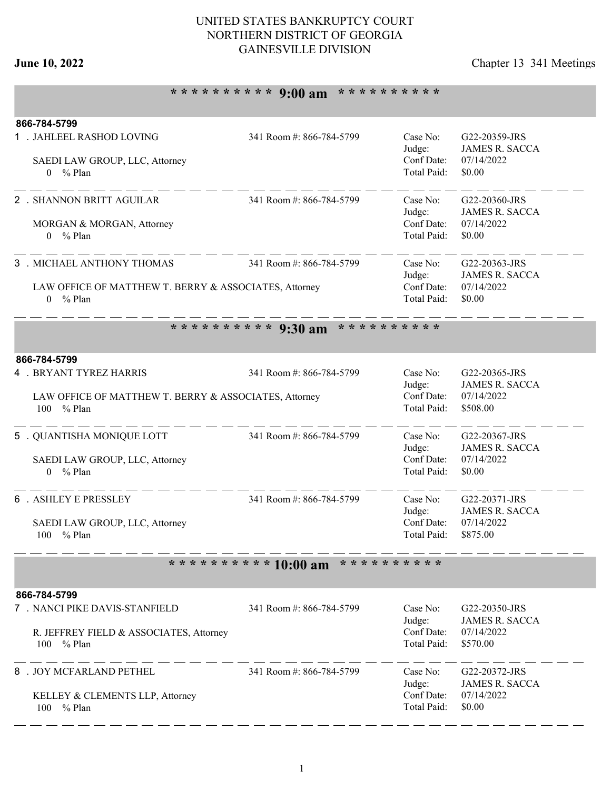## UNITED STATES BANKRUPTCY COURT NORTHERN DISTRICT OF GEORGIA GAINESVILLE DIVISION

# **June 10, 2022** Chapter 13 341 Meetings

# **\* \* \* \* \* \* \* \* \* \* 9:00 am \* \* \* \* \* \* \* \* \* \***

| 866-784-5799                                                                  |                                           |                           |                                        |  |
|-------------------------------------------------------------------------------|-------------------------------------------|---------------------------|----------------------------------------|--|
| 1 . JAHLEEL RASHOD LOVING                                                     | 341 Room #: 866-784-5799                  | Case No:<br>Judge:        | G22-20359-JRS<br><b>JAMES R. SACCA</b> |  |
| SAEDI LAW GROUP, LLC, Attorney<br>$0 \frac{9}{6}$ Plan                        |                                           | Conf Date:<br>Total Paid: | 07/14/2022<br>\$0.00                   |  |
|                                                                               |                                           |                           |                                        |  |
| 2 . SHANNON BRITT AGUILAR                                                     | 341 Room #: 866-784-5799                  | Case No:                  | G22-20360-JRS                          |  |
| MORGAN & MORGAN, Attorney                                                     |                                           | Judge:<br>Conf Date:      | <b>JAMES R. SACCA</b><br>07/14/2022    |  |
| $0 \frac{9}{6}$ Plan                                                          |                                           | Total Paid:               | \$0.00                                 |  |
| 3 . MICHAEL ANTHONY THOMAS                                                    | 341 Room #: 866-784-5799                  | Case No:                  | G22-20363-JRS                          |  |
|                                                                               |                                           | Judge:<br>Conf Date:      | <b>JAMES R. SACCA</b><br>07/14/2022    |  |
| LAW OFFICE OF MATTHEW T. BERRY & ASSOCIATES, Attorney<br>$%$ Plan<br>$\Omega$ |                                           | Total Paid:               | \$0.00                                 |  |
|                                                                               |                                           |                           |                                        |  |
|                                                                               | ********** 9:30 am<br>* * * * * * * * * * |                           |                                        |  |
| 866-784-5799                                                                  |                                           |                           |                                        |  |
| 4 . BRYANT TYREZ HARRIS                                                       | 341 Room #: 866-784-5799                  | Case No:                  | G22-20365-JRS<br><b>JAMES R. SACCA</b> |  |
| LAW OFFICE OF MATTHEW T. BERRY & ASSOCIATES, Attorney                         |                                           | Judge:<br>Conf Date:      | 07/14/2022                             |  |
| 100<br>$%$ Plan                                                               |                                           | Total Paid:               | \$508.00                               |  |
| 5 . QUANTISHA MONIQUE LOTT                                                    | 341 Room #: 866-784-5799                  | Case No:                  | G22-20367-JRS                          |  |
| SAEDI LAW GROUP, LLC, Attorney                                                |                                           | Judge:<br>Conf Date:      | <b>JAMES R. SACCA</b><br>07/14/2022    |  |
| $0 \frac{9}{6}$ Plan                                                          |                                           | Total Paid:               | \$0.00                                 |  |
| 6 . ASHLEY E PRESSLEY                                                         | 341 Room #: 866-784-5799                  | Case No:                  |                                        |  |
|                                                                               |                                           | Judge:                    | G22-20371-JRS<br><b>JAMES R. SACCA</b> |  |
| SAEDI LAW GROUP, LLC, Attorney                                                |                                           | Conf Date:                | 07/14/2022                             |  |
| % Plan<br>100                                                                 |                                           | Total Paid:               | \$875.00                               |  |
|                                                                               | ********** 10:00 am                       | * * * * * * * * * *       |                                        |  |
| 866-784-5799                                                                  |                                           |                           |                                        |  |
| 7 . NANCI PIKE DAVIS-STANFIELD                                                | 341 Room #: 866-784-5799                  | Case No:                  | G22-20350-JRS                          |  |
| R. JEFFREY FIELD & ASSOCIATES, Attorney                                       |                                           | Judge:<br>Conf Date:      | <b>JAMES R. SACCA</b><br>07/14/2022    |  |
| 100<br>% Plan                                                                 |                                           | Total Paid:               | \$570.00                               |  |
| 8 . JOY MCFARLAND PETHEL                                                      | 341 Room #: 866-784-5799                  | Case No:                  | G22-20372-JRS                          |  |
|                                                                               |                                           | Judge:                    | <b>JAMES R. SACCA</b>                  |  |
| KELLEY & CLEMENTS LLP, Attorney<br>100<br>% Plan                              |                                           | Conf Date:<br>Total Paid: | 07/14/2022<br>\$0.00                   |  |
|                                                                               |                                           |                           |                                        |  |